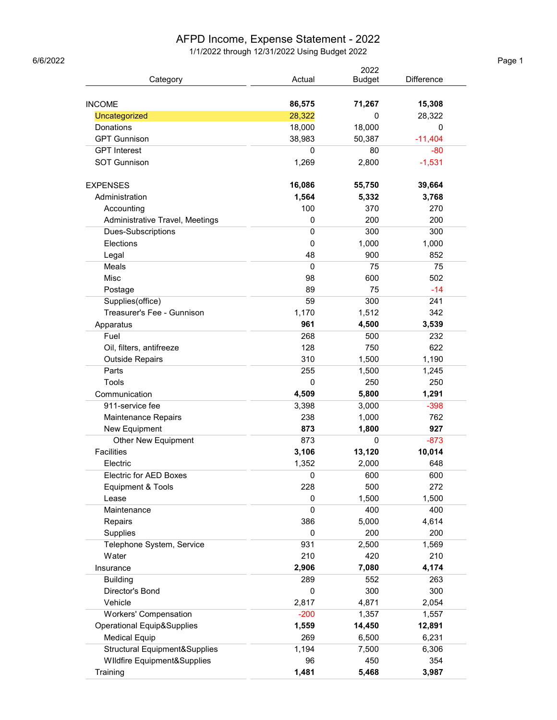## AFPD Income, Expense Statement - 2022

1/1/2022 through 12/31/2022 Using Budget 2022 6/6/2022 Page 1

|                                       | 2022        |               |                   |
|---------------------------------------|-------------|---------------|-------------------|
| Category                              | Actual      | <b>Budget</b> | <b>Difference</b> |
|                                       |             |               |                   |
| <b>INCOME</b>                         | 86,575      | 71,267        | 15,308            |
| Uncategorized                         | 28,322      | 0             | 28,322            |
| Donations                             | 18,000      | 18,000        | 0                 |
| <b>GPT Gunnison</b>                   | 38,983      | 50,387        | $-11,404$         |
| <b>GPT</b> Interest                   | 0           | 80            | $-80$             |
| <b>SOT Gunnison</b>                   | 1,269       | 2,800         | $-1,531$          |
| <b>EXPENSES</b>                       | 16,086      | 55,750        | 39,664            |
| Administration                        | 1,564       | 5,332         | 3,768             |
| Accounting                            | 100         | 370           | 270               |
| Administrative Travel, Meetings       | 0           | 200           | 200               |
| Dues-Subscriptions                    | $\mathbf 0$ | 300           | 300               |
| Elections                             | 0           | 1,000         | 1,000             |
| Legal                                 | 48          | 900           | 852               |
| Meals                                 | $\Omega$    | 75            | 75                |
| Misc                                  | 98          | 600           | 502               |
| Postage                               | 89          | 75            | $-14$             |
| Supplies(office)                      | 59          | 300           | 241               |
| Treasurer's Fee - Gunnison            | 1,170       | 1,512         | 342               |
| Apparatus                             | 961         | 4,500         | 3,539             |
| Fuel                                  | 268         | 500           | 232               |
| Oil, filters, antifreeze              | 128         | 750           | 622               |
| <b>Outside Repairs</b>                | 310         | 1,500         | 1,190             |
| Parts                                 | 255         | 1,500         | 1,245             |
| Tools                                 | 0           | 250           | 250               |
| Communication                         | 4,509       | 5,800         | 1,291             |
| 911-service fee                       | 3,398       | 3,000         | $-398$            |
| Maintenance Repairs                   | 238         | 1,000         | 762               |
| New Equipment                         | 873         | 1,800         | 927               |
| <b>Other New Equipment</b>            | 873         | 0             | $-873$            |
| <b>Facilities</b>                     | 3,106       | 13,120        | 10,014            |
| Electric                              | 1,352       | 2,000         | 648               |
| <b>Electric for AED Boxes</b>         | 0           | 600           | 600               |
| Equipment & Tools                     | 228         | 500           | 272               |
| Lease                                 | 0           | 1,500         | 1,500             |
| Maintenance                           | $\mathbf 0$ | 400           | 400               |
| Repairs                               | 386         | 5,000         | 4,614             |
| Supplies                              | 0           | 200           | 200               |
| Telephone System, Service             | 931         | 2,500         | 1,569             |
| Water                                 | 210         | 420           | 210               |
| Insurance                             | 2,906       | 7,080         | 4,174             |
| <b>Building</b>                       | 289         | 552           | 263               |
| Director's Bond                       | 0           | 300           | 300               |
| Vehicle                               | 2,817       | 4,871         | 2,054             |
| <b>Workers' Compensation</b>          | $-200$      | 1,357         | 1,557             |
| <b>Operational Equip&amp;Supplies</b> | 1,559       | 14,450        | 12,891            |
| <b>Medical Equip</b>                  | 269         | 6,500         | 6,231             |
| Structural Equipment&Supplies         | 1,194       | 7,500         | 6,306             |
| Wildfire Equipment&Supplies           | 96          | 450           | 354               |
|                                       |             |               |                   |
| Training                              | 1,481       | 5,468         | 3,987             |